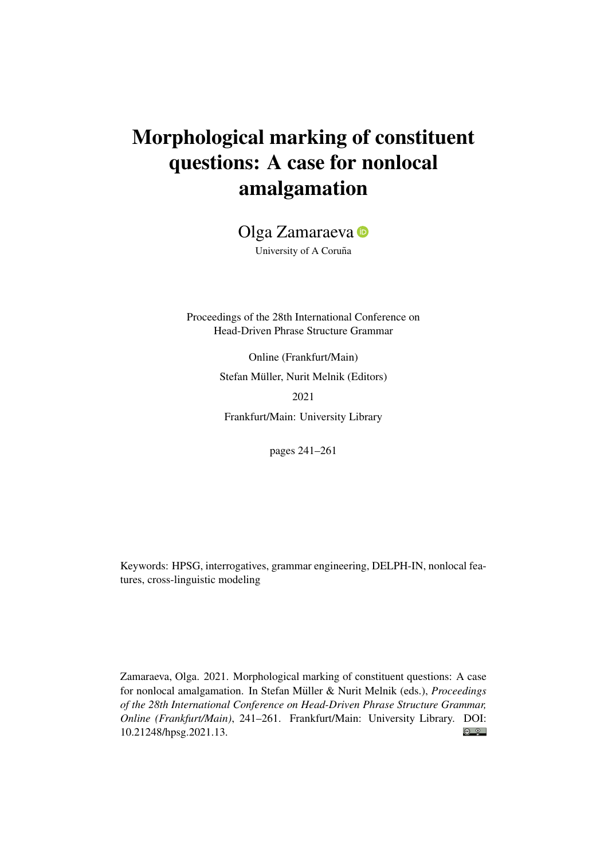# Morphological marking of constituent questions: A case for nonlocal amalgamation

Olga Zamaraeva<sup>o</sup>

University of A Coruña

Proceedings of the 28th International Conference on Head-Driven Phrase Structure Grammar

> Online (Frankfurt/Main) Stefan Müller, Nurit Melnik (Editors) 2021 Frankfurt/Main: University Library

> > pages 241–261

Keywords: HPSG, interrogatives, grammar engineering, DELPH-IN, nonlocal features, cross-linguistic modeling

Zamaraeva, Olga. 2021. Morphological marking of constituent questions: A case for nonlocal amalgamation. In Stefan Müller & Nurit Melnik (eds.), *Proceedings of the 28th International Conference on Head-Driven Phrase Structure Grammar, Online (Frankfurt/Main)*, 241–261. Frankfurt/Main: University Library. DOI:  $\odot$   $\odot$ [10.21248/hpsg.2021.13.](http://doi.org/10.21248/hpsg.2021.13)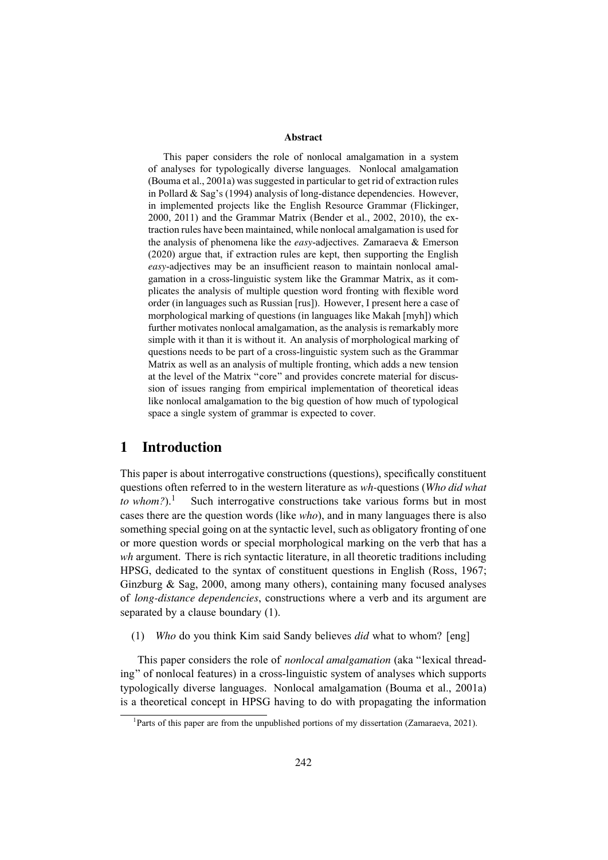#### Abstract

This paper considers the role of nonlocal amalgamation in a system of analyses for typologically diverse languages. Nonlocal amalgamation (Bouma et al., 2001a) was suggested in particular to get rid of extraction rules in Pollard & Sag's (1994) analysis of long-distance dependencies. However, in implemented projects like the English Resource Grammar (Flickinger, 2000, 2011) and the Grammar Matrix (Bender et al., 2002, 2010), the extraction rules have been maintained, while nonlocal amalgamation is used for the analysis of phenomena like the *easy*-adjectives. Zamaraeva & Emerson (2020) argue that, if extraction rules are kept, then supporting the English *easy*-adjectives may be an insufficient reason to maintain nonlocal amalgamation in a cross-linguistic system like the Grammar Matrix, as it complicates the analysis of multiple question word fronting with flexible word order (in languages such as Russian [rus]). However, I present here a case of morphological marking of questions (in languages like Makah [myh]) which further motivates nonlocal amalgamation, as the analysis is remarkably more simple with it than it is without it. An analysis of morphological marking of questions needs to be part of a cross-linguistic system such as the Grammar Matrix as well as an analysis of multiple fronting, which adds a new tension at the level of the Matrix "core" and provides concrete material for discussion of issues ranging from empirical implementation of theoretical ideas like nonlocal amalgamation to the big question of how much of typological space a single system of grammar is expected to cover.

# 1 Introduction

This paper is about interrogative constructions (questions), specifically constituent questions often referred to in the western literature as *wh-*questions (*Who did what to whom*?).<sup>1</sup> Such interrogative constructions take various forms but in most cases there are the question words (like *who*), and in many languages there is also something special going on at the syntactic level, such as obligatory fronting of one or more question words or special morphological marking on the verb that has a *wh* argument. There is rich syntactic literature, in all theoretic traditions including HPSG, dedicated to the syntax of constituent questions in English (Ross, 1967; Ginzburg  $\&$  Sag, 2000, among many others), containing many focused analyses of *long-distance dependencies*, constructions where a verb and its argument are separated by a clause boundary (1).

(1) *Who* do you think Kim said Sandy believes *did* what to whom? [eng]

This paper considers the role of *nonlocal amalgamation* (aka "lexical threading" of nonlocal features) in a cross-linguistic system of analyses which supports typologically diverse languages. Nonlocal amalgamation (Bouma et al., 2001a) is a theoretical concept in HPSG having to do with propagating the information

<sup>&</sup>lt;sup>1</sup>Parts of this paper are from the unpublished portions of my dissertation (Zamaraeva, 2021).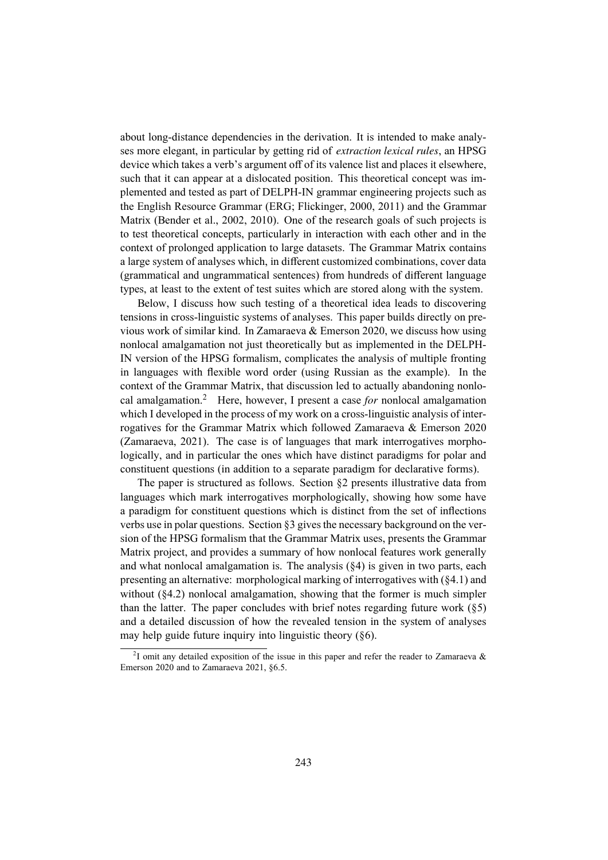about long-distance dependencies in the derivation. It is intended to make analyses more elegant, in particular by getting rid of *extraction lexical rules*, an HPSG device which takes a verb's argument off of its valence list and places it elsewhere, such that it can appear at a dislocated position. This theoretical concept was implemented and tested as part of DELPH-IN grammar engineering projects such as the English Resource Grammar (ERG; Flickinger, 2000, 2011) and the Grammar Matrix (Bender et al., 2002, 2010). One of the research goals of such projects is to test theoretical concepts, particularly in interaction with each other and in the context of prolonged application to large datasets. The Grammar Matrix contains a large system of analyses which, in different customized combinations, cover data (grammatical and ungrammatical sentences) from hundreds of different language types, at least to the extent of test suites which are stored along with the system.

Below, I discuss how such testing of a theoretical idea leads to discovering tensions in cross-linguistic systems of analyses. This paper builds directly on previous work of similar kind. In Zamaraeva & Emerson 2020, we discuss how using nonlocal amalgamation not just theoretically but as implemented in the DELPH-IN version of the HPSG formalism, complicates the analysis of multiple fronting in languages with flexible word order (using Russian as the example). In the context of the Grammar Matrix, that discussion led to actually abandoning nonlocal amalgamation.<sup>2</sup> Here, however, I present a case *for* nonlocal amalgamation which I developed in the process of my work on a cross-linguistic analysis of interrogatives for the Grammar Matrix which followed Zamaraeva & Emerson 2020 (Zamaraeva, 2021). The case is of languages that mark interrogatives morphologically, and in particular the ones which have distinct paradigms for polar and constituent questions (in addition to a separate paradigm for declarative forms).

The paper is structured as follows. Section §2 presents illustrative data from languages which mark interrogatives morphologically, showing how some have a paradigm for constituent questions which is distinct from the set of inflections verbs use in polar questions. Section §3 gives the necessary background on the version of the HPSG formalism that the Grammar Matrix uses, presents the Grammar Matrix project, and provides a summary of how nonlocal features work generally and what nonlocal amalgamation is. The analysis  $(84)$  is given in two parts, each presenting an alternative: morphological marking of interrogatives with (§4.1) and without (§4.2) nonlocal amalgamation, showing that the former is much simpler than the latter. The paper concludes with brief notes regarding future work  $(\S 5)$ and a detailed discussion of how the revealed tension in the system of analyses may help guide future inquiry into linguistic theory (§6).

<sup>&</sup>lt;sup>2</sup>I omit any detailed exposition of the issue in this paper and refer the reader to Zamaraeva & Emerson 2020 and to Zamaraeva 2021, §6.5.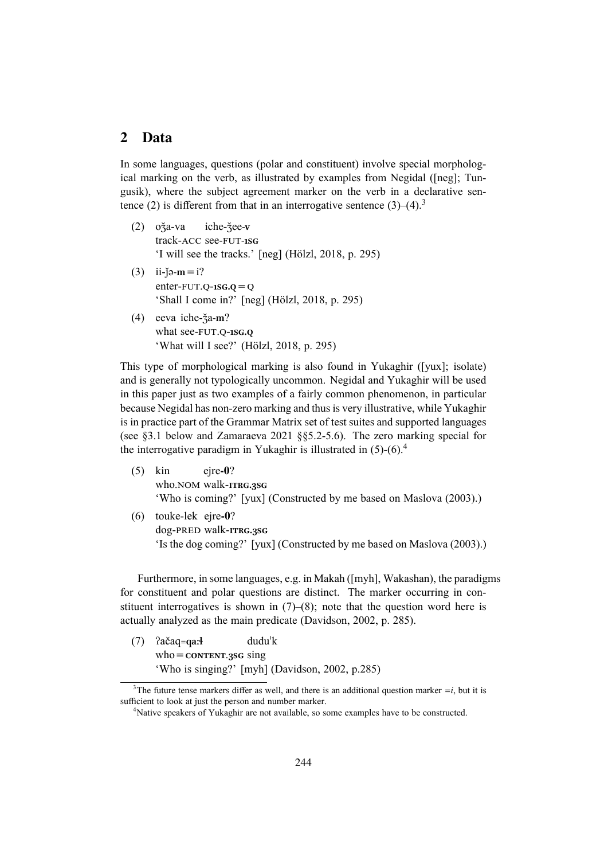## 2 Data

In some languages, questions (polar and constituent) involve special morphological marking on the verb, as illustrated by examples from Negidal ([neg]; Tungusik), where the subject agreement marker on the verb in a declarative sentence (2) is different from that in an interrogative sentence  $(3)$ – $(4)$ .<sup>3</sup>

- (2) oǯa-va track-ACC see-FUT**-1sg** iche-ǯee**-v** 'I will see the tracks.' [neg] (Hölzl, 2018, p. 295)
- $(3)$  ii-jə-m = i? enter-FUT.Q-**1sg.q**=Q 'Shall I come in?' [neg] (Hölzl, 2018, p. 295)
- (4) eeva iche-ǯa**-m**? what see-FUT.Q-**1sg.q** 'What will I see?' (Hölzl, 2018, p. 295)

This type of morphological marking is also found in Yukaghir ([yux]; isolate) and is generally not typologically uncommon. Negidal and Yukaghir will be used in this paper just as two examples of a fairly common phenomenon, in particular because Negidal has non-zero marking and thus is very illustrative, while Yukaghir is in practice part of the Grammar Matrix set of test suites and supported languages (see §3.1 below and Zamaraeva 2021 §§5.2-5.6). The zero marking special for the interrogative paradigm in Yukaghir is illustrated in  $(5)-(6)^4$ 

- (5) kin who.NOM walk-**itrg.3sg** eire-0? 'Who is coming?' [yux] (Constructed by me based on Maslova (2003).)
- (6) touke-lek ejre-0? dog-PRED walk-**itrg.3sg** 'Is the dog coming?' [yux] (Constructed by me based on Maslova (2003).)

Furthermore, in some languages, e.g. in Makah ([myh], Wakashan), the paradigms for constituent and polar questions are distinct. The marker occurring in constituent interrogatives is shown in  $(7)–(8)$ ; note that the question word here is actually analyzed as the main predicate (Davidson, 2002, p. 285).

(7) ʔačaq**=qaːɬ** who=**content**.**3sg** sing duduˈk 'Who is singing?' [myh] (Davidson, 2002, p.285)

<sup>&</sup>lt;sup>3</sup>The future tense markers differ as well, and there is an additional question marker  $=i$ , but it is sufficient to look at just the person and number marker.

<sup>&</sup>lt;sup>4</sup>Native speakers of Yukaghir are not available, so some examples have to be constructed.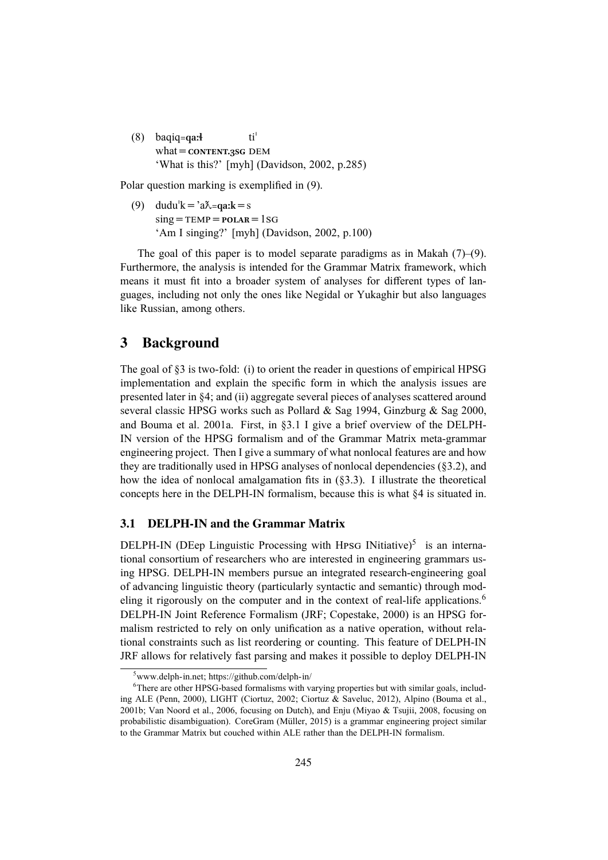(8) baqiq**=qaːɬ** what=**content.3sg** DEM tiˈ 'What is this?' [myh] (Davidson, 2002, p.285)

Polar question marking is exemplified in (9).

(9) dudu<sup> $k = \lambda^2 a \lambda = qa$ **:**  $k = s$ </sup>  $sing = TEMP = POLAR = 1SG$ 'Am I singing?' [myh] (Davidson, 2002, p.100)

The goal of this paper is to model separate paradigms as in Makah  $(7)$ – $(9)$ . Furthermore, the analysis is intended for the Grammar Matrix framework, which means it must fit into a broader system of analyses for different types of languages, including not only the ones like Negidal or Yukaghir but also languages like Russian, among others.

# 3 Background

The goal of §3 is two-fold: (i) to orient the reader in questions of empirical HPSG implementation and explain the specific form in which the analysis issues are presented later in §4; and (ii) aggregate several pieces of analyses scattered around several classic HPSG works such as Pollard & Sag 1994, Ginzburg & Sag 2000, and Bouma et al. 2001a. First, in §3.1 I give a brief overview of the DELPH-IN version of the HPSG formalism and of the Grammar Matrix meta-grammar engineering project. Then I give a summary of what nonlocal features are and how they are traditionally used in HPSG analyses of nonlocal dependencies (§3.2), and how the idea of nonlocal amalgamation fits in (§3.3). I illustrate the theoretical concepts here in the DELPH-IN formalism, because this is what §4 is situated in.

## 3.1 DELPH-IN and the Grammar Matrix

DELPH-IN (DEep Linguistic Processing with HPSG INitiative) $5$  is an international consortium of researchers who are interested in engineering grammars using HPSG. DELPH-IN members pursue an integrated research-engineering goal of advancing linguistic theory (particularly syntactic and semantic) through modeling it rigorously on the computer and in the context of real-life applications.<sup>6</sup> DELPH-IN Joint Reference Formalism (JRF; Copestake, 2000) is an HPSG formalism restricted to rely on only unification as a native operation, without relational constraints such as list reordering or counting. This feature of DELPH-IN JRF allows for relatively fast parsing and makes it possible to deploy DELPH-IN

 $5$ www.delph-in.net; https://github.com/delph-in/

<sup>&</sup>lt;sup>6</sup>There are other HPSG-based formalisms with varying properties but with similar goals, including ALE (Penn, 2000), LIGHT (Ciortuz, 2002; Ciortuz & Saveluc, 2012), Alpino (Bouma et al., 2001b; Van Noord et al., 2006, focusing on Dutch), and Enju (Miyao & Tsujii, 2008, focusing on probabilistic disambiguation). CoreGram (Müller, 2015) is a grammar engineering project similar to the Grammar Matrix but couched within ALE rather than the DELPH-IN formalism.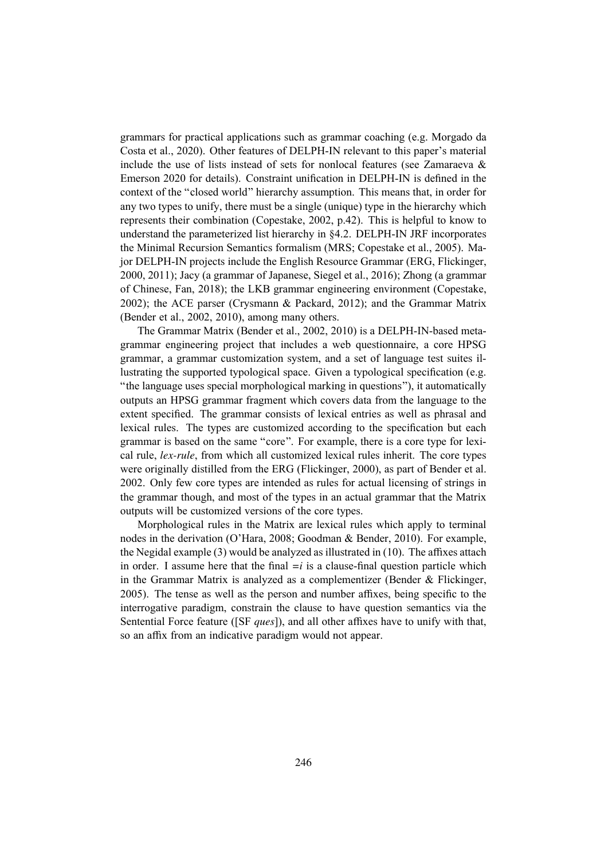grammars for practical applications such as grammar coaching (e.g. Morgado da Costa et al., 2020). Other features of DELPH-IN relevant to this paper's material include the use of lists instead of sets for nonlocal features (see Zamaraeva & Emerson 2020 for details). Constraint unification in DELPH-IN is defined in the context of the "closed world" hierarchy assumption. This means that, in order for any two types to unify, there must be a single (unique) type in the hierarchy which represents their combination (Copestake, 2002, p.42). This is helpful to know to understand the parameterized list hierarchy in §4.2. DELPH-IN JRF incorporates the Minimal Recursion Semantics formalism (MRS; Copestake et al., 2005). Major DELPH-IN projects include the English Resource Grammar (ERG, Flickinger, 2000, 2011); Jacy (a grammar of Japanese, Siegel et al., 2016); Zhong (a grammar of Chinese, Fan, 2018); the LKB grammar engineering environment (Copestake, 2002); the ACE parser (Crysmann & Packard, 2012); and the Grammar Matrix (Bender et al., 2002, 2010), among many others.

The Grammar Matrix (Bender et al., 2002, 2010) is a DELPH-IN-based metagrammar engineering project that includes a web questionnaire, a core HPSG grammar, a grammar customization system, and a set of language test suites illustrating the supported typological space. Given a typological specification (e.g. "the language uses special morphological marking in questions"), it automatically outputs an HPSG grammar fragment which covers data from the language to the extent specified. The grammar consists of lexical entries as well as phrasal and lexical rules. The types are customized according to the specification but each grammar is based on the same "core". For example, there is a core type for lexical rule, *lex-rule*, from which all customized lexical rules inherit. The core types were originally distilled from the ERG (Flickinger, 2000), as part of Bender et al. 2002. Only few core types are intended as rules for actual licensing of strings in the grammar though, and most of the types in an actual grammar that the Matrix outputs will be customized versions of the core types.

Morphological rules in the Matrix are lexical rules which apply to terminal nodes in the derivation (O'Hara, 2008; Goodman & Bender, 2010). For example, the Negidal example (3) would be analyzed as illustrated in (10). The affixes attach in order. I assume here that the final  $=i$  is a clause-final question particle which in the Grammar Matrix is analyzed as a complementizer (Bender & Flickinger, 2005). The tense as well as the person and number affixes, being specific to the interrogative paradigm, constrain the clause to have question semantics via the Sentential Force feature ([SF *ques*]), and all other affixes have to unify with that, so an affix from an indicative paradigm would not appear.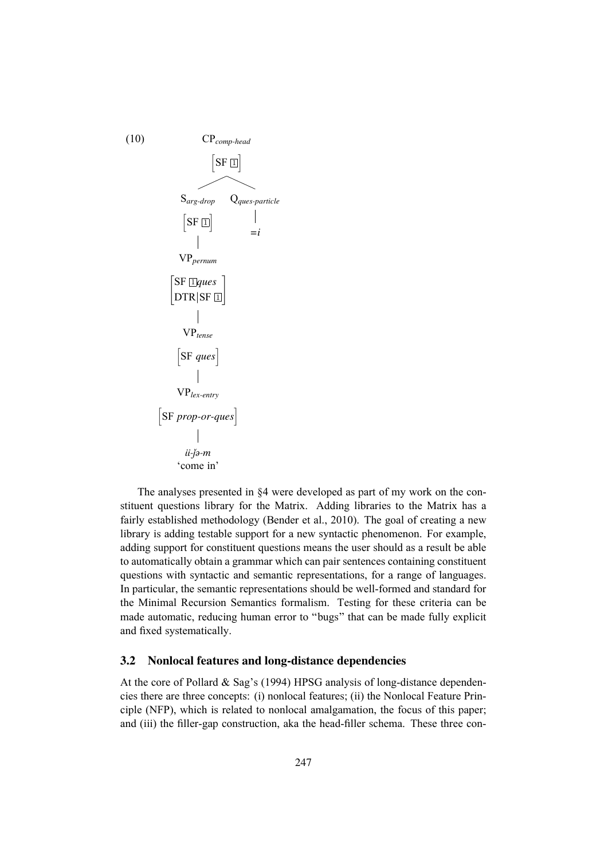

The analyses presented in §4 were developed as part of my work on the constituent questions library for the Matrix. Adding libraries to the Matrix has a fairly established methodology (Bender et al., 2010). The goal of creating a new library is adding testable support for a new syntactic phenomenon. For example, adding support for constituent questions means the user should as a result be able to automatically obtain a grammar which can pair sentences containing constituent questions with syntactic and semantic representations, for a range of languages. In particular, the semantic representations should be well-formed and standard for the Minimal Recursion Semantics formalism. Testing for these criteria can be made automatic, reducing human error to "bugs" that can be made fully explicit and fixed systematically.

### 3.2 Nonlocal features and long-distance dependencies

At the core of Pollard & Sag's (1994) HPSG analysis of long-distance dependencies there are three concepts: (i) nonlocal features; (ii) the Nonlocal Feature Principle (NFP), which is related to nonlocal amalgamation, the focus of this paper; and (iii) the filler-gap construction, aka the head-filler schema. These three con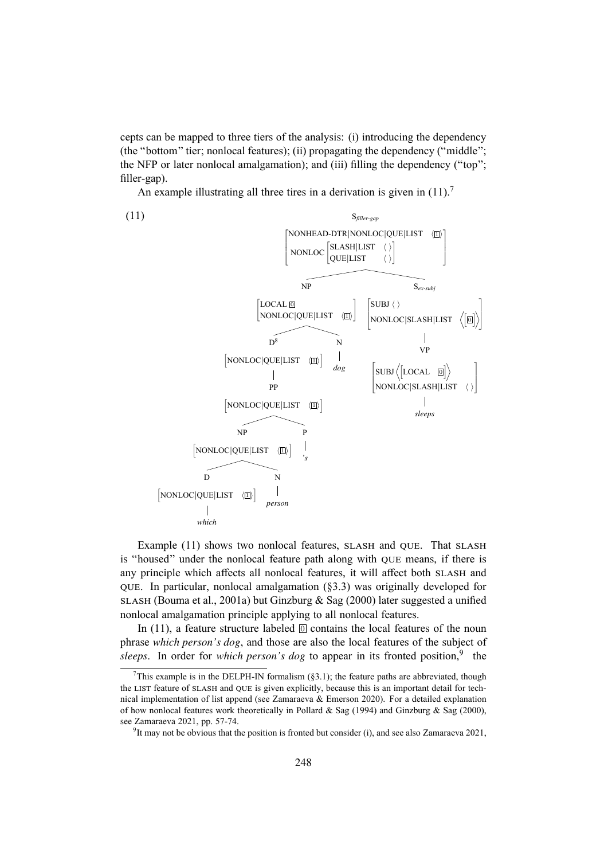cepts can be mapped to three tiers of the analysis: (i) introducing the dependency (the "bottom" tier; nonlocal features); (ii) propagating the dependency ("middle"; the NFP or later nonlocal amalgamation); and (iii) filling the dependency ("top"; filler-gap).

An example illustrating all three tires in a derivation is given in  $(11)$ .<sup>7</sup>



Example (11) shows two nonlocal features, SLASH and QUE. That SLASH is "housed" under the nonlocal feature path along with QUE means, if there is any principle which affects all nonlocal features, it will affect both SLASH and QUE. In particular, nonlocal amalgamation (§3.3) was originally developed for SLASH (Bouma et al., 2001a) but Ginzburg & Sag (2000) later suggested a unified nonlocal amalgamation principle applying to all nonlocal features.

In (11), a feature structure labeled  $\overline{0}$  contains the local features of the noun phrase *which person's dog*, and those are also the local features of the subject of sleeps. In order for *which person's dog* to appear in its fronted position,<sup>9</sup> the

This example is in the DELPH-IN formalism (§3.1); the feature paths are abbreviated, though the LIST feature of SLASH and QUE is given explicitly, because this is an important detail for technical implementation of list append (see Zamaraeva & Emerson 2020). For a detailed explanation of how nonlocal features work theoretically in Pollard & Sag (1994) and Ginzburg & Sag (2000), see Zamaraeva 2021, pp. 57-74.

<sup>&</sup>lt;sup>9</sup>It may not be obvious that the position is fronted but consider (i), and see also Zamaraeva 2021,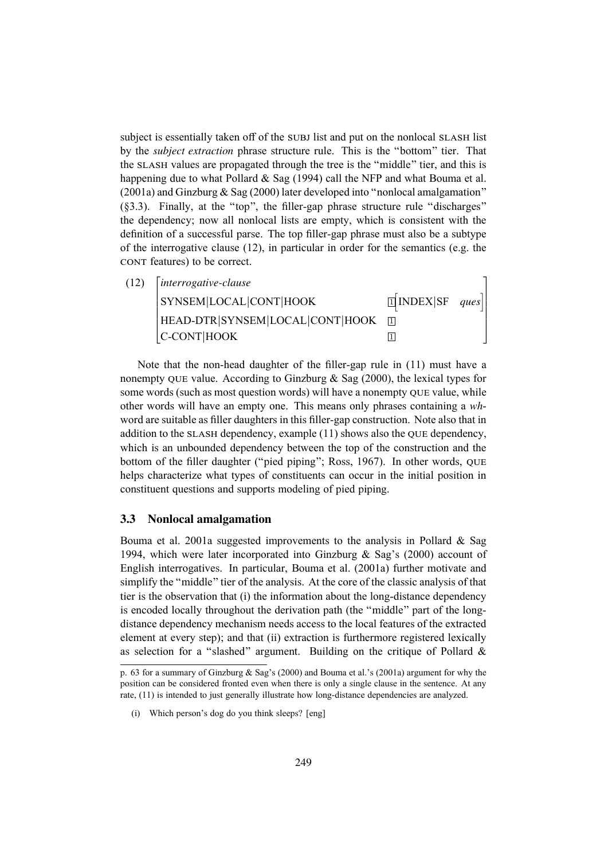subject is essentially taken off of the SUBJ list and put on the nonlocal SLASH list by the *subject extraction* phrase structure rule. This is the "bottom" tier. That the SLASH values are propagated through the tree is the "middle" tier, and this is happening due to what Pollard & Sag (1994) call the NFP and what Bouma et al. (2001a) and Ginzburg & Sag (2000) later developed into "nonlocal amalgamation" (§3.3). Finally, at the "top", the filler-gap phrase structure rule "discharges" the dependency; now all nonlocal lists are empty, which is consistent with the definition of a successful parse. The top filler-gap phrase must also be a subtype of the interrogative clause (12), in particular in order for the semantics (e.g. the CONT features) to be correct.

| (12) | $[interrogative-clause]$        |                            |  |
|------|---------------------------------|----------------------------|--|
|      | SYNSEM LOCAL CONT HOOK          | $\mathbb{I}$ INDEX SF ques |  |
|      | HEAD-DTR SYNSEM LOCAL CONT HOOK |                            |  |
|      | C-CONT HOOK                     |                            |  |

Note that the non-head daughter of the filler-gap rule in (11) must have a nonempty OUE value. According to Ginzburg  $\&$  Sag (2000), the lexical types for some words (such as most question words) will have a nonempty QUE value, while other words will have an empty one. This means only phrases containing a *wh*word are suitable as filler daughters in this filler-gap construction. Note also that in addition to the SLASH dependency, example (11) shows also the QUE dependency, which is an unbounded dependency between the top of the construction and the bottom of the filler daughter ("pied piping"; Ross, 1967). In other words, QUE helps characterize what types of constituents can occur in the initial position in constituent questions and supports modeling of pied piping.

#### 3.3 Nonlocal amalgamation

Bouma et al. 2001a suggested improvements to the analysis in Pollard & Sag 1994, which were later incorporated into Ginzburg & Sag's (2000) account of English interrogatives. In particular, Bouma et al. (2001a) further motivate and simplify the "middle" tier of the analysis. At the core of the classic analysis of that tier is the observation that (i) the information about the long-distance dependency is encoded locally throughout the derivation path (the "middle" part of the longdistance dependency mechanism needs access to the local features of the extracted element at every step); and that (ii) extraction is furthermore registered lexically as selection for a "slashed" argument. Building on the critique of Pollard  $\&$ 

p. 63 for a summary of Ginzburg & Sag's (2000) and Bouma et al.'s (2001a) argument for why the position can be considered fronted even when there is only a single clause in the sentence. At any rate, (11) is intended to just generally illustrate how long-distance dependencies are analyzed.

<sup>(</sup>i) Which person's dog do you think sleeps? [eng]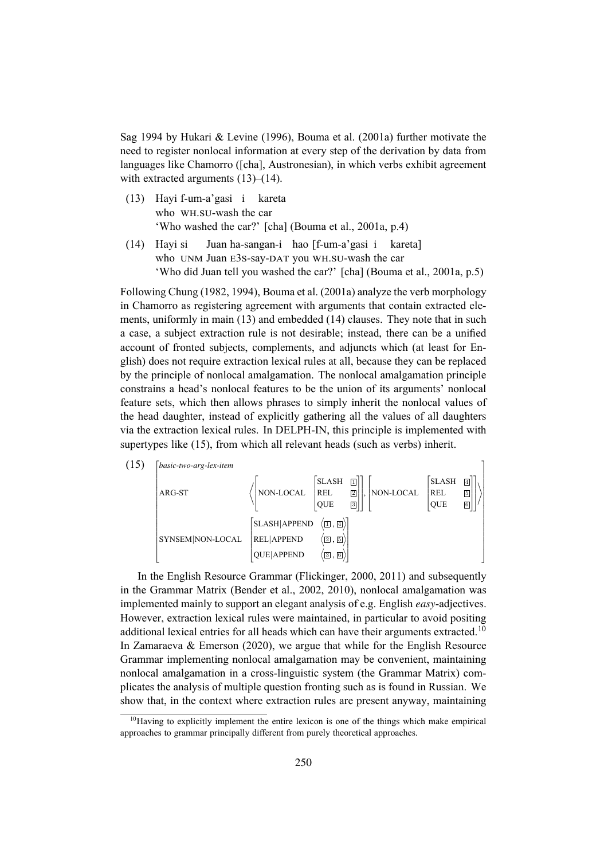Sag 1994 by Hukari & Levine (1996), Bouma et al. (2001a) further motivate the need to register nonlocal information at every step of the derivation by data from languages like Chamorro ([cha], Austronesian), in which verbs exhibit agreement with extracted arguments  $(13)$ – $(14)$ .

- (13) Hayi f-um-a'gasi i kareta who WH.SU-wash the car 'Who washed the car?' [cha] (Bouma et al., 2001a, p.4)
- (14) Hayi si who UNM Juan E3S-say-DAT you WH.SU-wash the car Juan ha-sangan-i hao [f-um-a'gasi i kareta] 'Who did Juan tell you washed the car?' [cha] (Bouma et al., 2001a, p.5)

Following Chung (1982, 1994), Bouma et al. (2001a) analyze the verb morphology in Chamorro as registering agreement with arguments that contain extracted elements, uniformly in main (13) and embedded (14) clauses. They note that in such a case, a subject extraction rule is not desirable; instead, there can be a unified account of fronted subjects, complements, and adjuncts which (at least for English) does not require extraction lexical rules at all, because they can be replaced by the principle of nonlocal amalgamation. The nonlocal amalgamation principle constrains a head's nonlocal features to be the union of its arguments' nonlocal feature sets, which then allows phrases to simply inherit the nonlocal values of the head daughter, instead of explicitly gathering all the values of all daughters via the extraction lexical rules. In DELPH-IN, this principle is implemented with supertypes like (15), from which all relevant heads (such as verbs) inherit.



In the English Resource Grammar (Flickinger, 2000, 2011) and subsequently in the Grammar Matrix (Bender et al., 2002, 2010), nonlocal amalgamation was implemented mainly to support an elegant analysis of e.g. English *easy*-adjectives. However, extraction lexical rules were maintained, in particular to avoid positing additional lexical entries for all heads which can have their arguments extracted.<sup>10</sup> In Zamaraeva & Emerson (2020), we argue that while for the English Resource Grammar implementing nonlocal amalgamation may be convenient, maintaining nonlocal amalgamation in a cross-linguistic system (the Grammar Matrix) complicates the analysis of multiple question fronting such as is found in Russian. We show that, in the context where extraction rules are present anyway, maintaining

<sup>&</sup>lt;sup>10</sup>Having to explicitly implement the entire lexicon is one of the things which make empirical approaches to grammar principally different from purely theoretical approaches.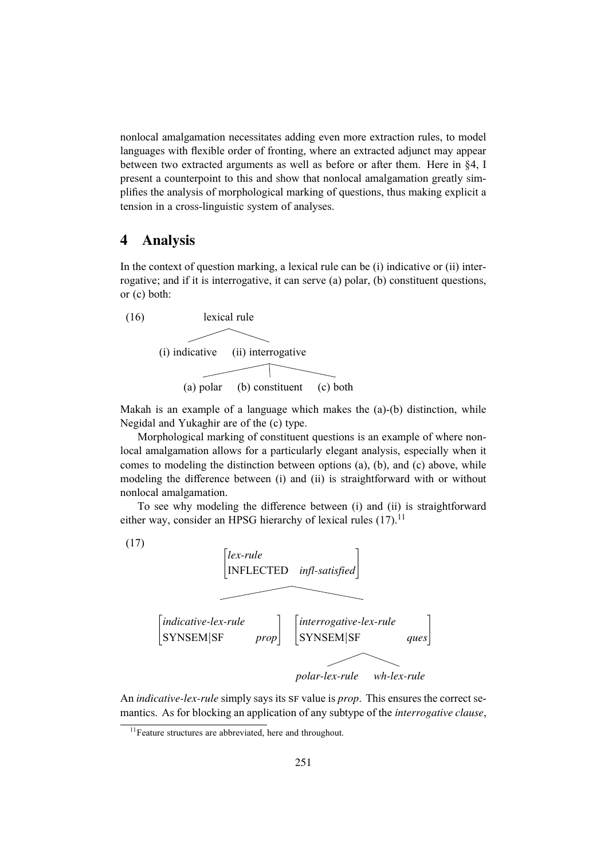nonlocal amalgamation necessitates adding even more extraction rules, to model languages with flexible order of fronting, where an extracted adjunct may appear between two extracted arguments as well as before or after them. Here in §4, I present a counterpoint to this and show that nonlocal amalgamation greatly simplifies the analysis of morphological marking of questions, thus making explicit a tension in a cross-linguistic system of analyses.

## 4 Analysis

In the context of question marking, a lexical rule can be (i) indicative or (ii) interrogative; and if it is interrogative, it can serve (a) polar, (b) constituent questions, or (c) both:



Makah is an example of a language which makes the (a)-(b) distinction, while Negidal and Yukaghir are of the (c) type.

Morphological marking of constituent questions is an example of where nonlocal amalgamation allows for a particularly elegant analysis, especially when it comes to modeling the distinction between options (a), (b), and (c) above, while modeling the difference between (i) and (ii) is straightforward with or without nonlocal amalgamation.

To see why modeling the difference between (i) and (ii) is straightforward either way, consider an HPSG hierarchy of lexical rules  $(17)$ .<sup>11</sup>



An *indicative-lex-rule* simply says its SF value is *prop*. This ensures the correct semantics. As for blocking an application of any subtype of the *interrogative clause*,

<sup>&</sup>lt;sup>11</sup>Feature structures are abbreviated, here and throughout.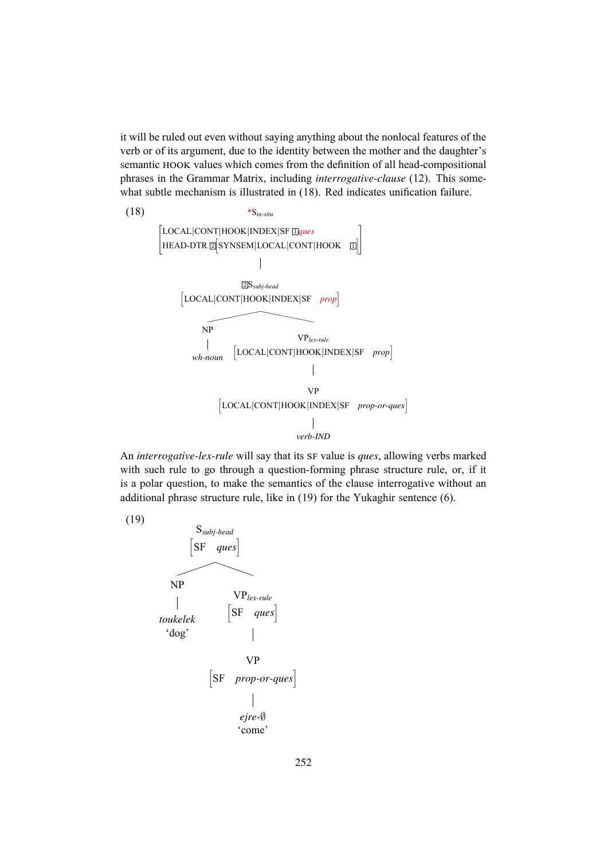it will be ruled out even without saying anything about the nonlocal features of the verb or of its argument, due to the identity between the mother and the daughter's semantic HOOK values which comes from the definition of all head-compositional phrases in the Grammar Matrix, including *interrogative-clause* (12). This somewhat subtle mechanism is illustrated in  $(18)$ . Red indicates unification failure.



An *interrogative-lex-rule* will say that its SF value is *ques*, allowing verbs marked with such rule to go through a question-forming phrase structure rule, or, if it is a polar question, to make the semantics of the clause interrogative without an additional phrase structure rule, like in (19) for the Yukaghir sentence (6).

(19)

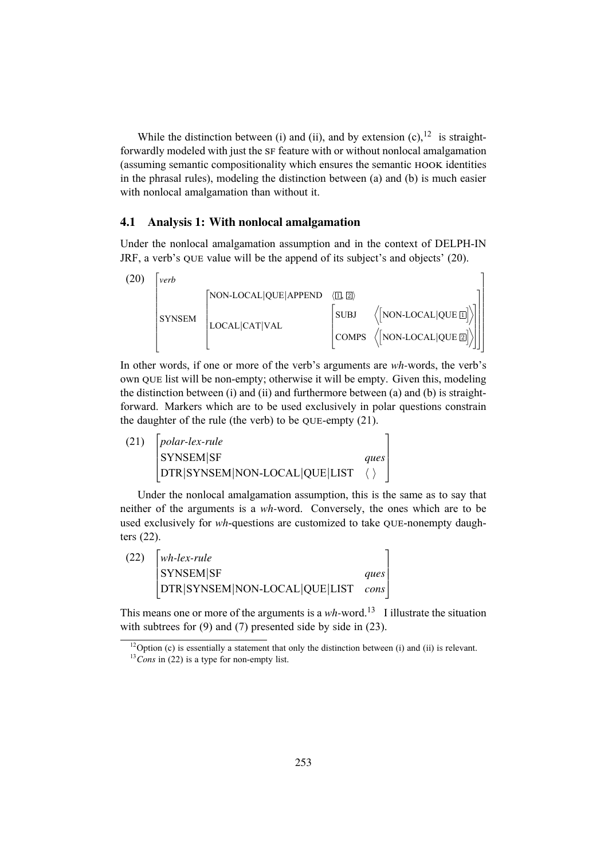While the distinction between (i) and (ii), and by extension (c),  $12$  is straightforwardly modeled with just the SF feature with or without nonlocal amalgamation (assuming semantic compositionality which ensures the semantic HOOK identities in the phrasal rules), modeling the distinction between (a) and (b) is much easier with nonlocal amalgamation than without it.

#### 4.1 Analysis 1: With nonlocal amalgamation

Under the nonlocal amalgamation assumption and in the context of DELPH-IN JRF, a verb's QUE value will be the append of its subject's and objects' (20).



In other words, if one or more of the verb's arguments are *wh-*words, the verb's own QUE list will be non-empty; otherwise it will be empty. Given this, modeling the distinction between  $(i)$  and  $(ii)$  and furthermore between  $(a)$  and  $(b)$  is straightforward. Markers which are to be used exclusively in polar questions constrain the daughter of the rule (the verb) to be QUE-empty (21).

(21)  $\Bigg\}$ *polar-lex-rule* SYNSEM|SF *ques* DTR|SYNSEM|NON-LOCAL|QUE|LIST ⟨ ⟩ 1  $\overline{\phantom{a}}$ 

Under the nonlocal amalgamation assumption, this is the same as to say that neither of the arguments is a *wh-*word. Conversely, the ones which are to be used exclusively for *wh*-questions are customized to take QUE-nonempty daughters (22).

| (22) | $\vert$ wh-lex-rule                |      |
|------|------------------------------------|------|
|      | <b>SYNSEM</b> SF                   | ques |
|      | DTR SYNSEM NON-LOCAL QUE LIST cons |      |

This means one or more of the arguments is a *wh*-word.<sup>13</sup> I illustrate the situation with subtrees for (9) and (7) presented side by side in (23).

 $\frac{12}{12}$ Option (c) is essentially a statement that only the distinction between (i) and (ii) is relevant.

<sup>&</sup>lt;sup>13</sup>*Cons* in (22) is a type for non-empty list.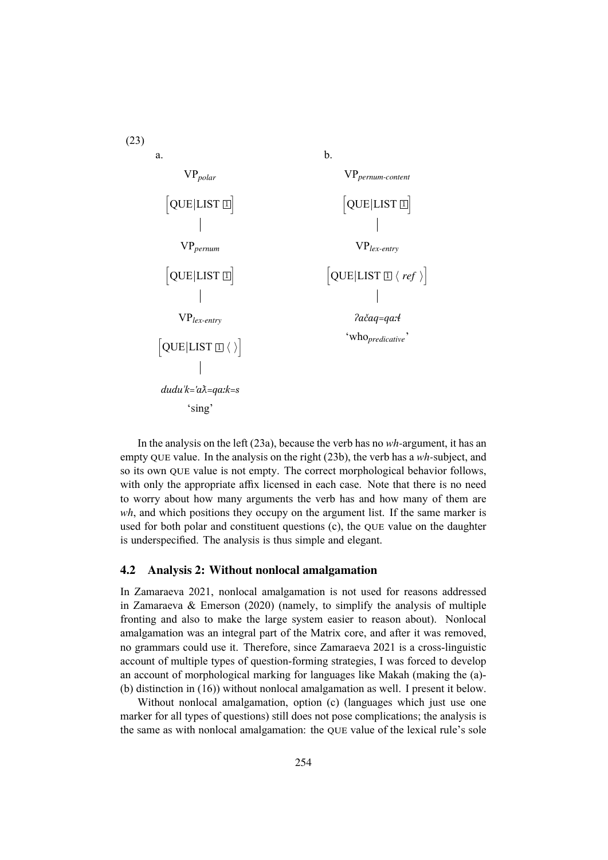

In the analysis on the left (23a), because the verb has no *wh-*argument, it has an empty QUE value. In the analysis on the right (23b), the verb has a *wh-*subject, and so its own QUE value is not empty. The correct morphological behavior follows, with only the appropriate affix licensed in each case. Note that there is no need to worry about how many arguments the verb has and how many of them are *wh*, and which positions they occupy on the argument list. If the same marker is used for both polar and constituent questions (c), the QUE value on the daughter is underspecified. The analysis is thus simple and elegant.

#### 4.2 Analysis 2: Without nonlocal amalgamation

In Zamaraeva 2021, nonlocal amalgamation is not used for reasons addressed in Zamaraeva & Emerson (2020) (namely, to simplify the analysis of multiple fronting and also to make the large system easier to reason about). Nonlocal amalgamation was an integral part of the Matrix core, and after it was removed, no grammars could use it. Therefore, since Zamaraeva 2021 is a cross-linguistic account of multiple types of question-forming strategies, I was forced to develop an account of morphological marking for languages like Makah (making the (a)- (b) distinction in (16)) without nonlocal amalgamation as well. I present it below.

Without nonlocal amalgamation, option (c) (languages which just use one marker for all types of questions) still does not pose complications; the analysis is the same as with nonlocal amalgamation: the QUE value of the lexical rule's sole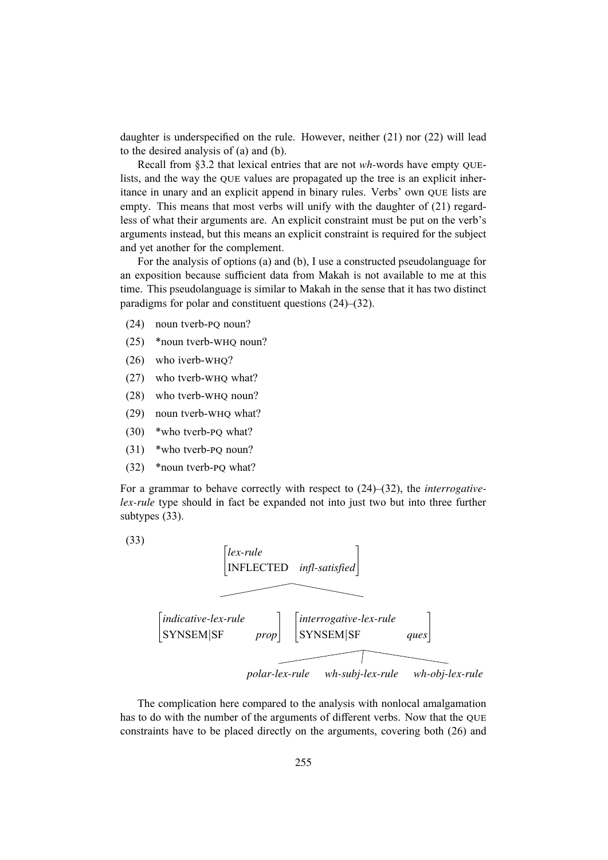daughter is underspecified on the rule. However, neither (21) nor (22) will lead to the desired analysis of (a) and (b).

Recall from §3.2 that lexical entries that are not *wh-*words have empty QUElists, and the way the QUE values are propagated up the tree is an explicit inheritance in unary and an explicit append in binary rules. Verbs' own QUE lists are empty. This means that most verbs will unify with the daughter of (21) regardless of what their arguments are. An explicit constraint must be put on the verb's arguments instead, but this means an explicit constraint is required for the subject and yet another for the complement.

For the analysis of options (a) and (b), I use a constructed pseudolanguage for an exposition because sufficient data from Makah is not available to me at this time. This pseudolanguage is similar to Makah in the sense that it has two distinct paradigms for polar and constituent questions (24)–(32).

- (24) noun tverb-PQ noun?
- (25) \*noun tverb-WHQ noun?
- (26) who iverb-WHQ?
- (27) who tverb-WHQ what?
- (28) who tverb-WHQ noun?
- (29) noun tverb-WHQ what?
- (30) \*who tverb-PQ what?
- (31) \*who tverb-PQ noun?
- (32) \*noun tverb-PQ what?

For a grammar to behave correctly with respect to (24)–(32), the *interrogativelex-rule* type should in fact be expanded not into just two but into three further subtypes (33).

 $(33)$ 



The complication here compared to the analysis with nonlocal amalgamation has to do with the number of the arguments of different verbs. Now that the QUE constraints have to be placed directly on the arguments, covering both (26) and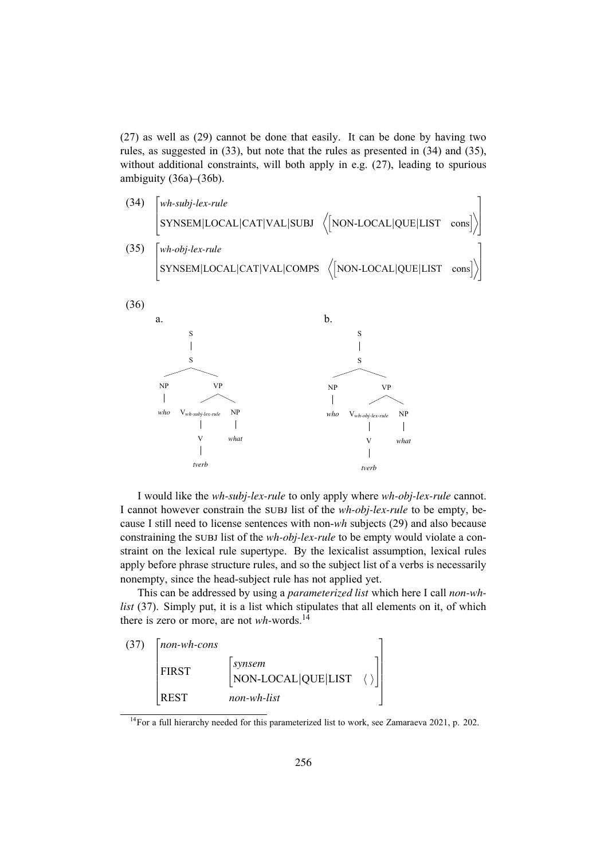(27) as well as (29) cannot be done that easily. It can be done by having two rules, as suggested in (33), but note that the rules as presented in (34) and (35), without additional constraints, will both apply in e.g. (27), leading to spurious ambiguity (36a)–(36b).

(34) 
$$
\begin{bmatrix} wh-subj-lex-rule \\ SYNSEM|LOCAL|CAT|VAL|SUBJ & \langle [NON-LOCAL|QUE|LIST cons] \rangle \end{bmatrix}
$$
  
(35) 
$$
\begin{bmatrix} wh-obj-lex-rule \\ SYNSEM|LOCAL|CAT|VAL|COMPS & \langle [NON-LOCAL|QUE|LIST cons] \rangle \end{bmatrix}
$$



I would like the *wh-subj-lex-rule* to only apply where *wh-obj-lex-rule* cannot. I cannot however constrain the SUBJ list of the *wh-obj-lex-rule* to be empty, because I still need to license sentences with non-*wh* subjects (29) and also because constraining the SUBJ list of the *wh-obj-lex-rule* to be empty would violate a constraint on the lexical rule supertype. By the lexicalist assumption, lexical rules apply before phrase structure rules, and so the subject list of a verbs is necessarily nonempty, since the head-subject rule has not applied yet.

This can be addressed by using a *parameterized list* which here I call *non-whlist* (37). Simply put, it is a list which stipulates that all elements on it, of which there is zero or more, are not *wh-*words.<sup>14</sup>



<sup>&</sup>lt;sup>14</sup>For a full hierarchy needed for this parameterized list to work, see Zamaraeva 2021, p. 202.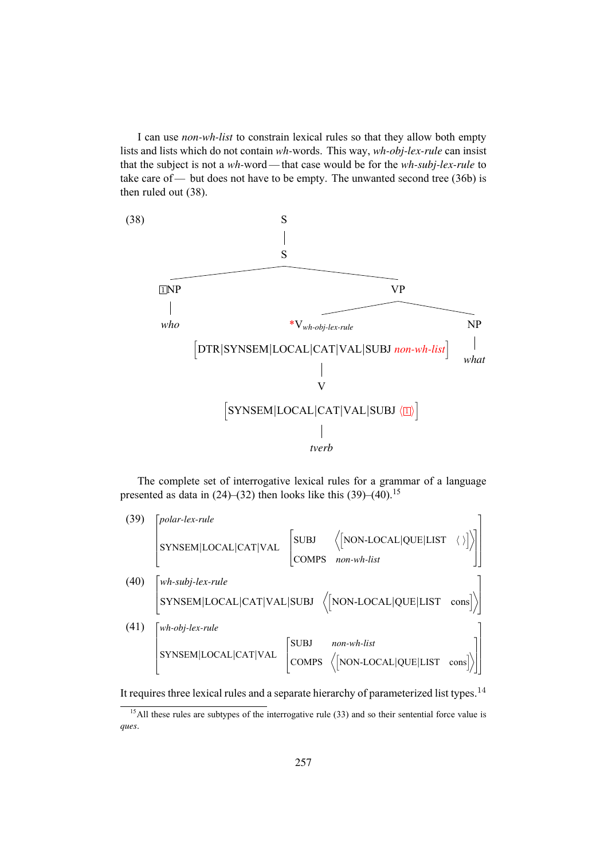I can use *non-wh-list* to constrain lexical rules so that they allow both empty lists and lists which do not contain *wh-*words. This way, *wh-obj-lex-rule* can insist that the subject is not a *wh-*word — that case would be for the *wh-subj-lex-rule* to take care of — but does not have to be empty. The unwanted second tree  $(36b)$  is then ruled out (38).



The complete set of interrogative lexical rules for a grammar of a language presented as data in  $(24)$ – $(32)$  then looks like this  $(39)$ – $(40)$ .<sup>15</sup>

(39) 
$$
\begin{bmatrix} polar-lex-rule \\ \text{SYNSEM} | \text{LOCAL} | \text{CAT} | \text{VAL} & \left( \text{NON-LOCAL} | \text{QUE} | \text{LIST} \end{bmatrix} \right) \right)
$$
  
(40) 
$$
\begin{bmatrix} wh-subj-lex-rule \\ \text{SYNSEM} | \text{LOCAL} | \text{CAT} | \text{VAL} | \text{SUBJ} & \left( \text{NON-LOCAL} | \text{QUE} | \text{LIST} \text{ cons} \right) \right)
$$
  
(41) 
$$
\begin{bmatrix} wh-obj-lex-rule \\ \text{SYNSEM} | \text{LOCAL} | \text{CAT} | \text{VAL} | \text{SUBJ} & non-wh-list \\ \text{SYNSEM} | \text{LOCAL} | \text{CAT} | \text{VAL} & \left( \text{COMPS} & \left( \text{NON-LOCAL} | \text{QUE} | \text{LIST} \text{ cons} \right) \right) \end{bmatrix}
$$

It requires three lexical rules and a separate hierarchy of parameterized list types.<sup>14</sup>

 $<sup>15</sup>$ All these rules are subtypes of the interrogative rule (33) and so their sentential force value is</sup> *ques*.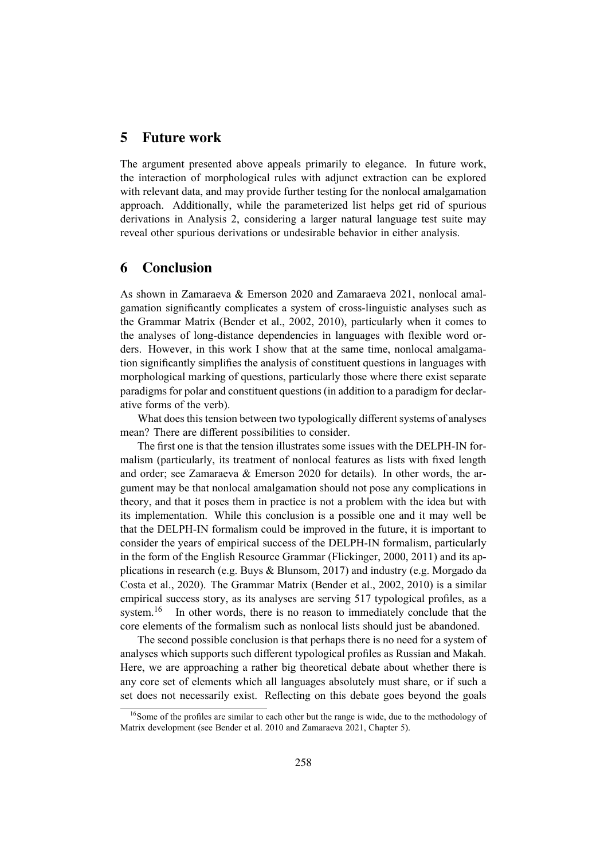## 5 Future work

The argument presented above appeals primarily to elegance. In future work, the interaction of morphological rules with adjunct extraction can be explored with relevant data, and may provide further testing for the nonlocal amalgamation approach. Additionally, while the parameterized list helps get rid of spurious derivations in Analysis 2, considering a larger natural language test suite may reveal other spurious derivations or undesirable behavior in either analysis.

# 6 Conclusion

As shown in Zamaraeva & Emerson 2020 and Zamaraeva 2021, nonlocal amalgamation significantly complicates a system of cross-linguistic analyses such as the Grammar Matrix (Bender et al., 2002, 2010), particularly when it comes to the analyses of long-distance dependencies in languages with flexible word orders. However, in this work I show that at the same time, nonlocal amalgamation significantly simplifies the analysis of constituent questions in languages with morphological marking of questions, particularly those where there exist separate paradigms for polar and constituent questions (in addition to a paradigm for declarative forms of the verb).

What does this tension between two typologically different systems of analyses mean? There are different possibilities to consider.

The first one is that the tension illustrates some issues with the DELPH-IN formalism (particularly, its treatment of nonlocal features as lists with fixed length and order; see Zamaraeva & Emerson 2020 for details). In other words, the argument may be that nonlocal amalgamation should not pose any complications in theory, and that it poses them in practice is not a problem with the idea but with its implementation. While this conclusion is a possible one and it may well be that the DELPH-IN formalism could be improved in the future, it is important to consider the years of empirical success of the DELPH-IN formalism, particularly in the form of the English Resource Grammar (Flickinger, 2000, 2011) and its applications in research (e.g. Buys & Blunsom, 2017) and industry (e.g. Morgado da Costa et al., 2020). The Grammar Matrix (Bender et al., 2002, 2010) is a similar empirical success story, as its analyses are serving 517 typological profiles, as a system.<sup>16</sup> In other words, there is no reason to immediately conclude that the core elements of the formalism such as nonlocal lists should just be abandoned.

The second possible conclusion is that perhaps there is no need for a system of analyses which supports such different typological profiles as Russian and Makah. Here, we are approaching a rather big theoretical debate about whether there is any core set of elements which all languages absolutely must share, or if such a set does not necessarily exist. Reflecting on this debate goes beyond the goals

<sup>&</sup>lt;sup>16</sup>Some of the profiles are similar to each other but the range is wide, due to the methodology of Matrix development (see Bender et al. 2010 and Zamaraeva 2021, Chapter 5).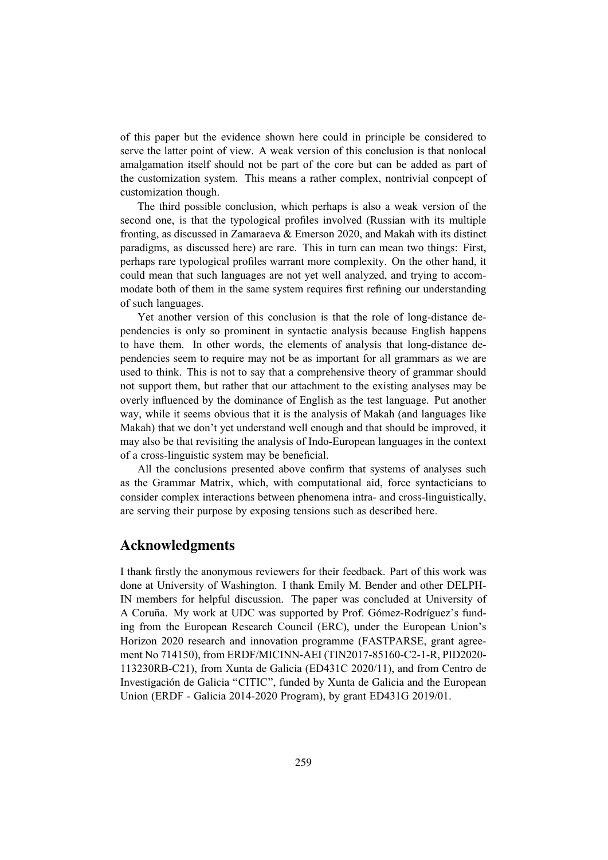of this paper but the evidence shown here could in principle be considered to serve the latter point of view. A weak version of this conclusion is that nonlocal amalgamation itself should not be part of the core but can be added as part of the customization system. This means a rather complex, nontrivial conpcept of customization though.

The third possible conclusion, which perhaps is also a weak version of the second one, is that the typological profiles involved (Russian with its multiple fronting, as discussed in Zamaraeva & Emerson 2020, and Makah with its distinct paradigms, as discussed here) are rare. This in turn can mean two things: First, perhaps rare typological profiles warrant more complexity. On the other hand, it could mean that such languages are not yet well analyzed, and trying to accommodate both of them in the same system requires first refining our understanding of such languages.

Yet another version of this conclusion is that the role of long-distance dependencies is only so prominent in syntactic analysis because English happens to have them. In other words, the elements of analysis that long-distance dependencies seem to require may not be as important for all grammars as we are used to think. This is not to say that a comprehensive theory of grammar should not support them, but rather that our attachment to the existing analyses may be overly influenced by the dominance of English as the test language. Put another way, while it seems obvious that it is the analysis of Makah (and languages like Makah) that we don't yet understand well enough and that should be improved, it may also be that revisiting the analysis of Indo-European languages in the context of a cross-linguistic system may be beneficial.

All the conclusions presented above confirm that systems of analyses such as the Grammar Matrix, which, with computational aid, force syntacticians to consider complex interactions between phenomena intra- and cross-linguistically, are serving their purpose by exposing tensions such as described here.

## Acknowledgments

I thank firstly the anonymous reviewers for their feedback. Part of this work was done at University of Washington. I thank Emily M. Bender and other DELPH-IN members for helpful discussion. The paper was concluded at University of A Coruña. My work at UDC was supported by Prof. Gómez-Rodríguez's funding from the European Research Council (ERC), under the European Union's Horizon 2020 research and innovation programme (FASTPARSE, grant agreement No 714150), from ERDF/MICINN-AEI (TIN2017-85160-C2-1-R, PID2020- 113230RB-C21), from Xunta de Galicia (ED431C 2020/11), and from Centro de Investigación de Galicia "CITIC", funded by Xunta de Galicia and the European Union (ERDF - Galicia 2014-2020 Program), by grant ED431G 2019/01.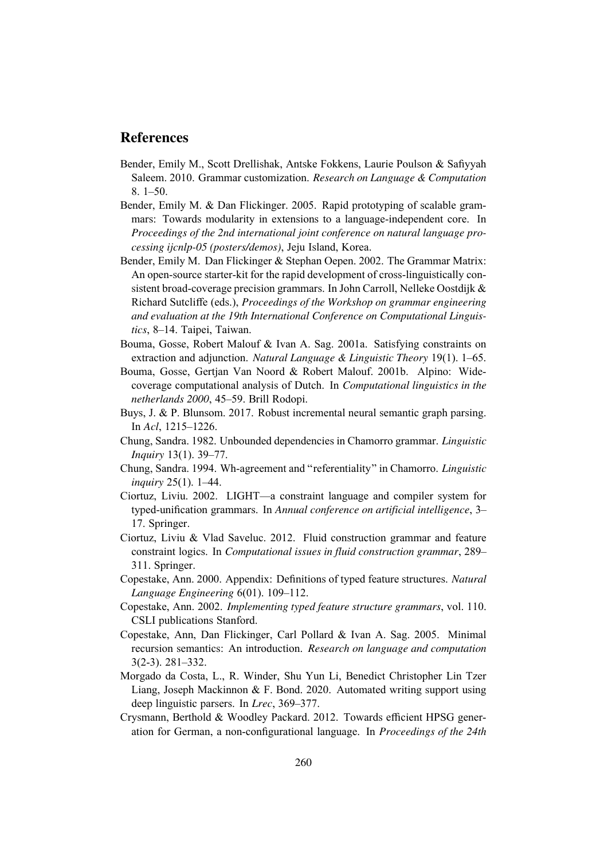## References

- Bender, Emily M., Scott Drellishak, Antske Fokkens, Laurie Poulson & Safiyyah Saleem. 2010. Grammar customization. *Research on Language & Computation* 8. 1–50.
- Bender, Emily M. & Dan Flickinger. 2005. Rapid prototyping of scalable grammars: Towards modularity in extensions to a language-independent core. In *Proceedings of the 2nd international joint conference on natural language processing ijcnlp-05 (posters/demos)*, Jeju Island, Korea.
- Bender, Emily M. Dan Flickinger & Stephan Oepen. 2002. The Grammar Matrix: An open-source starter-kit for the rapid development of cross-linguistically consistent broad-coverage precision grammars. In John Carroll, Nelleke Oostdijk & Richard Sutcliffe (eds.), *Proceedings of the Workshop on grammar engineering and evaluation at the 19th International Conference on Computational Linguistics*, 8–14. Taipei, Taiwan.
- Bouma, Gosse, Robert Malouf & Ivan A. Sag. 2001a. Satisfying constraints on extraction and adjunction. *Natural Language & Linguistic Theory* 19(1). 1–65.
- Bouma, Gosse, Gertjan Van Noord & Robert Malouf. 2001b. Alpino: Widecoverage computational analysis of Dutch. In *Computational linguistics in the netherlands 2000*, 45–59. Brill Rodopi.
- Buys, J. & P. Blunsom. 2017. Robust incremental neural semantic graph parsing. In *Acl*, 1215–1226.
- Chung, Sandra. 1982. Unbounded dependencies in Chamorro grammar. *Linguistic Inquiry* 13(1). 39–77.
- Chung, Sandra. 1994. Wh-agreement and "referentiality" in Chamorro. *Linguistic inquiry* 25(1). 1–44.
- Ciortuz, Liviu. 2002. LIGHT—a constraint language and compiler system for typed-unification grammars. In *Annual conference on artificial intelligence*, 3– 17. Springer.
- Ciortuz, Liviu & Vlad Saveluc. 2012. Fluid construction grammar and feature constraint logics. In *Computational issues in fluid construction grammar*, 289– 311. Springer.
- Copestake, Ann. 2000. Appendix: Definitions of typed feature structures. *Natural Language Engineering* 6(01). 109–112.
- Copestake, Ann. 2002. *Implementing typed feature structure grammars*, vol. 110. CSLI publications Stanford.
- Copestake, Ann, Dan Flickinger, Carl Pollard & Ivan A. Sag. 2005. Minimal recursion semantics: An introduction. *Research on language and computation* 3(2-3). 281–332.
- Morgado da Costa, L., R. Winder, Shu Yun Li, Benedict Christopher Lin Tzer Liang, Joseph Mackinnon & F. Bond. 2020. Automated writing support using deep linguistic parsers. In *Lrec*, 369–377.
- Crysmann, Berthold & Woodley Packard. 2012. Towards efficient HPSG generation for German, a non-configurational language. In *Proceedings of the 24th*